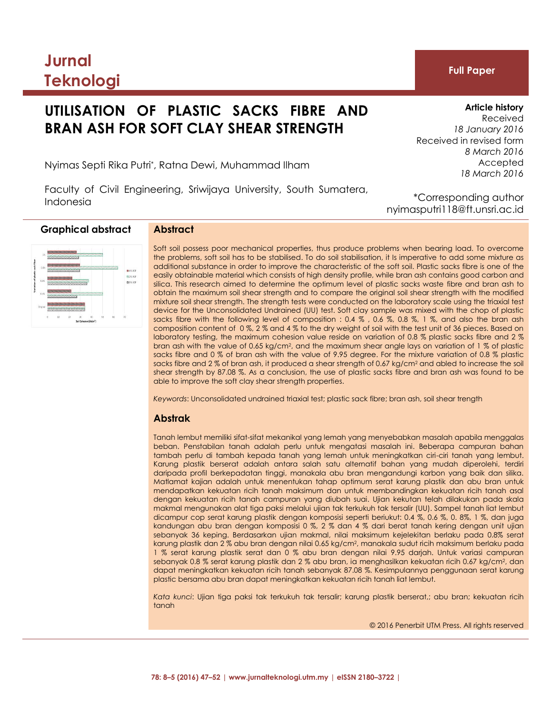# **Jurnal Teknologi**

# **UTILISATION OF PLASTIC SACKS FIBRE AND BRAN ASH FOR SOFT CLAY SHEAR STRENGTH**

# **Article history**

*8 March 2016* Accepted *18 March 2016*

Received *18 January 2016*

**Full Paper**

Received in revised form

Nyimas Septi Rika Putri\* , Ratna Dewi, Muhammad Ilham

Faculty of Civil Engineering, Sriwijaya University, South Sumatera, Indonesia

\*Corresponding author nyimasputri118@ft.unsri.ac.id

# **Graphical abstract Abstract**



Soft soil possess poor mechanical properties, thus produce problems when bearing load. To overcome the problems, soft soil has to be stabilised. To do soil stabilisation, it Is imperative to add some mixture as additional substance in order to improve the characteristic of the soft soil. Plastic sacks fibre is one of the easily obtainable material which consists of high density profile, while bran ash contains good carbon and silica. This research aimed to determine the optimum level of plastic sacks waste fibre and bran ash to obtain the maximum soil shear strength and to compare the original soil shear strength with the modified mixture soil shear strength. The strength tests were conducted on the laboratory scale using the triaxial test device for the Unconsolidated Undrained (UU) test. Soft clay sample was mixed with the chop of plastic sacks fibre with the following level of composition : 0.4 %, 0.6 %, 0.8 %, 1 %, and also the bran ash composition content of 0 %, 2 % and 4 % to the dry weight of soil with the test unit of 36 pieces. Based on laboratory testing, the maximum cohesion value reside on variation of 0.8 % plastic sacks fibre and 2 % bran ash with the value of 0.65 kg/cm2, and the maximum shear angle lays on variation of 1 % of plastic sacks fibre and 0 % of bran ash with the value of 9.95 degree. For the mixture variation of 0.8 % plastic sacks fibre and 2 % of bran ash, it produced a shear strength of 0.67 kg/cm<sup>2</sup> and abled to increase the soil shear strength by 87.08 %. As a conclusion, the use of plastic sacks fibre and bran ash was found to be able to improve the soft clay shear strength properties.

*Keywords*: Unconsolidated undrained triaxial test; plastic sack fibre; bran ash, soil shear trength

# **Abstrak**

Tanah lembut memiliki sifat-sifat mekanikal yang lemah yang menyebabkan masalah apabila menggalas beban. Penstabilan tanah adalah perlu untuk mengatasi masalah ini. Beberapa campuran bahan tambah perlu di tambah kepada tanah yang lemah untuk meningkatkan ciri-ciri tanah yang lembut. Karung plastik berserat adalah antara salah satu alternatif bahan yang mudah diperolehi, terdiri daripada profil berkepadatan tinggi, manakala abu bran mengandungi karbon yang baik dan silika. Matlamat kajian adalah untuk menentukan tahap optimum serat karung plastik dan abu bran untuk mendapatkan kekuatan ricih tanah maksimum dan untuk membandingkan kekuatan ricih tanah asal dengan kekuatan ricih tanah campuran yang diubah suai. Ujian kekutan telah dilakukan pada skala makmal mengunakan alat tiga paksi melalui ujian tak terkukuh tak tersalir (UU). Sampel tanah liat lembut dicampur cop serat karung plastik dengan komposisi seperti beriukut: 0.4 %, 0.6 %, 0. 8%, 1 %, dan juga kandungan abu bran dengan komposisi 0 %, 2 % dan 4 % dari berat tanah kering dengan unit ujian sebanyak 36 keping. Berdasarkan ujian makmal, nilai maksimum kejelekitan berlaku pada 0.8% serat karung plastik dan 2 % abu bran dengan nilai 0.65 kg/cm2, manakala sudut ricih maksimum berlaku pada 1 % serat karung plastik serat dan 0 % abu bran dengan nilai 9.95 darjah. Untuk variasi campuran sebanyak 0.8 % serat karung plastik dan 2 % abu bran, ia menghasilkan kekuatan ricih 0.67 kg/cm<sup>2</sup>, dan dapat meningkatkan kekuatan ricih tanah sebanyak 87.08 %. Kesimpulannya penggunaan serat karung plastic bersama abu bran dapat meningkatkan kekuatan ricih tanah liat lembut.

*Kata kunci*: Ujian tiga paksi tak terkukuh tak tersalir; karung plastik berserat,; abu bran; kekuatan ricih tanah

© 2016 Penerbit UTM Press. All rights reserved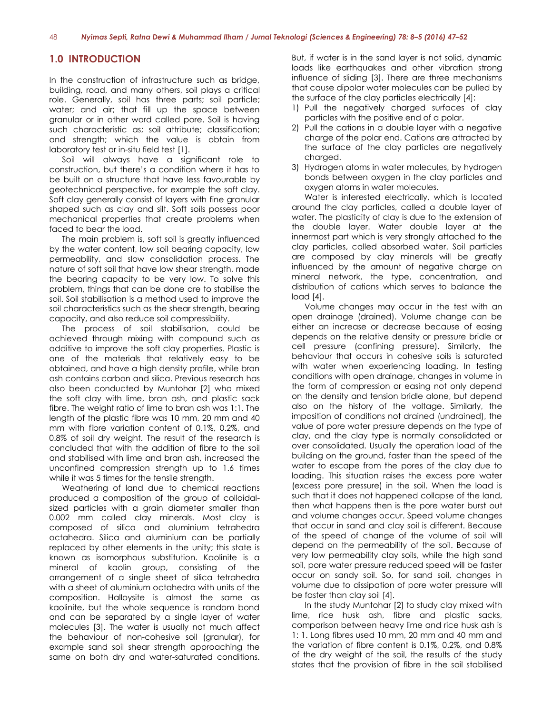# **1.0 INTRODUCTION**

In the construction of infrastructure such as bridge, building, road, and many others, soil plays a critical role. Generally, soil has three parts; soil particle; water; and air; that fill up the space between granular or in other word called pore. Soil is having such characteristic as; soil attribute; classification; and strength; which the value is obtain from laboratory test or in-situ field test [1].

Soil will always have a significant role to construction, but there's a condition where it has to be built on a structure that have less favourable by geotechnical perspective, for example the soft clay. Soft clay generally consist of layers with fine granular shaped such as clay and silt. Soft soils possess poor mechanical properties that create problems when faced to bear the load.

The main problem is, soft soil is greatly influenced by the water content, low soil bearing capacity, low permeability, and slow consolidation process. The nature of soft soil that have low shear strength, made the bearing capacity to be very low. To solve this problem, things that can be done are to stabilise the soil. Soil stabilisation is a method used to improve the soil characteristics such as the shear strength, bearing capacity, and also reduce soil compressibility.

The process of soil stabilisation, could be achieved through mixing with compound such as additive to improve the soft clay properties. Plastic is one of the materials that relatively easy to be obtained, and have a high density profile, while bran ash contains carbon and silica. Previous research has also been conducted by Muntohar [2] who mixed the soft clay with lime, bran ash, and plastic sack fibre. The weight ratio of lime to bran ash was 1:1. The length of the plastic fibre was 10 mm, 20 mm and 40 mm with fibre variation content of 0.1%, 0.2%, and 0.8% of soil dry weight. The result of the research is concluded that with the addition of fibre to the soil and stabilised with lime and bran ash, increased the unconfined compression strength up to 1.6 times while it was 5 times for the tensile strength.

Weathering of land due to chemical reactions produced a composition of the group of colloidalsized particles with a grain diameter smaller than 0.002 mm called clay minerals. Most clay is composed of silica and aluminium tetrahedra octahedra. Silica and aluminium can be partially replaced by other elements in the unity; this state is known as isomorphous substitution. Kaolinite is a mineral of kaolin group, consisting of the arrangement of a single sheet of silica tetrahedra with a sheet of aluminium octahedra with units of the composition. Halloysite is almost the same as kaolinite, but the whole sequence is random bond and can be separated by a single layer of water molecules [3]. The water is usually not much affect the behaviour of non-cohesive soil (granular), for example sand soil shear strength approaching the same on both dry and water-saturated conditions.

But, if water is in the sand layer is not solid, dynamic loads like earthquakes and other vibration strong influence of sliding [3]. There are three mechanisms that cause dipolar water molecules can be pulled by the surface of the clay particles electrically [4]:

- 1) Pull the negatively charged surfaces of clay particles with the positive end of a polar.
- 2) Pull the cations in a double layer with a negative charge of the polar end. Cations are attracted by the surface of the clay particles are negatively charged.
- 3) Hydrogen atoms in water molecules, by hydrogen bonds between oxygen in the clay particles and oxygen atoms in water molecules.

Water is interested electrically, which is located around the clay particles, called a double layer of water. The plasticity of clay is due to the extension of the double layer. Water double layer at the innermost part which is very strongly attached to the clay particles, called absorbed water. Soil particles are composed by clay minerals will be greatly influenced by the amount of negative charge on mineral network, the type, concentration, and distribution of cations which serves to balance the load [4].

Volume changes may occur in the test with an open drainage (drained). Volume change can be either an increase or decrease because of easing depends on the relative density or pressure bridle or cell pressure (confining pressure). Similarly, the behaviour that occurs in cohesive soils is saturated with water when experiencing loading. In testing conditions with open drainage, changes in volume in the form of compression or easing not only depend on the density and tension bridle alone, but depend also on the history of the voltage. Similarly, the imposition of conditions not drained (undrained), the value of pore water pressure depends on the type of clay, and the clay type is normally consolidated or over consolidated. Usually the operation load of the building on the ground, faster than the speed of the water to escape from the pores of the clay due to loading. This situation raises the excess pore water (excess pore pressure) in the soil. When the load is such that it does not happened collapse of the land, then what happens then is the pore water burst out and volume changes occur. Speed volume changes that occur in sand and clay soil is different. Because of the speed of change of the volume of soil will depend on the permeability of the soil. Because of very low permeability clay soils, while the high sand soil, pore water pressure reduced speed will be faster occur on sandy soil. So, for sand soil, changes in volume due to dissipation of pore water pressure will be faster than clay soil [4].

In the study Muntohar [2] to study clay mixed with lime, rice husk ash, fibre and plastic sacks, comparison between heavy lime and rice husk ash is 1: 1. Long fibres used 10 mm, 20 mm and 40 mm and the variation of fibre content is 0.1%, 0.2%, and 0.8% of the dry weight of the soil, the results of the study states that the provision of fibre in the soil stabilised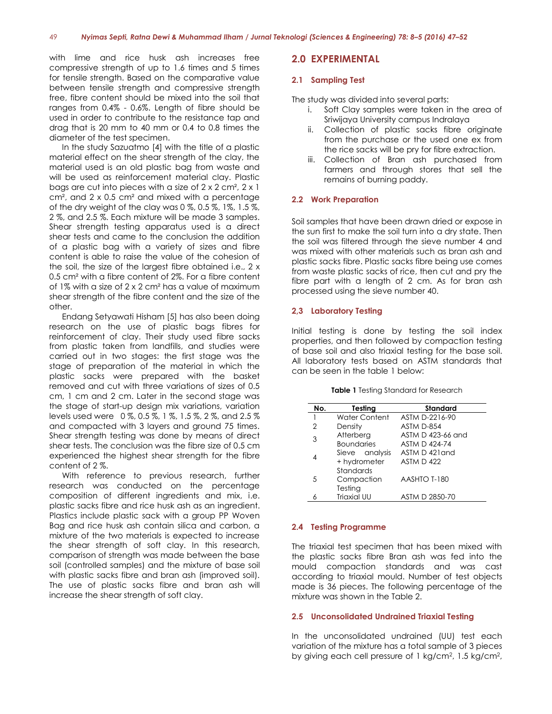with lime and rice husk ash increases free compressive strength of up to 1.6 times and 5 times for tensile strength. Based on the comparative value between tensile strength and compressive strength free, fibre content should be mixed into the soil that ranges from 0.4% - 0.6%. Length of fibre should be used in order to contribute to the resistance tap and drag that is 20 mm to 40 mm or 0.4 to 0.8 times the diameter of the test specimen.

In the study Sazuatmo [4] with the title of a plastic material effect on the shear strength of the clay, the material used is an old plastic bag from waste and will be used as reinforcement material clay. Plastic bags are cut into pieces with a size of 2 x 2 cm², 2 x 1 cm², and 2 x 0.5 cm² and mixed with a percentage of the dry weight of the clay was 0 %, 0.5 %, 1%, 1.5 %, 2 %, and 2.5 %. Each mixture will be made 3 samples. Shear strength testing apparatus used is a direct shear tests and came to the conclusion the addition of a plastic bag with a variety of sizes and fibre content is able to raise the value of the cohesion of the soil, the size of the largest fibre obtained i.e., 2 x 0.5 cm² with a fibre content of 2%. For a fibre content of 1% with a size of 2 x 2 cm² has a value of maximum shear strength of the fibre content and the size of the other.

Endang Setyawati Hisham [5] has also been doing research on the use of plastic bags fibres for reinforcement of clay. Their study used fibre sacks from plastic taken from landfills, and studies were carried out in two stages: the first stage was the stage of preparation of the material in which the plastic sacks were prepared with the basket removed and cut with three variations of sizes of 0.5 cm, 1 cm and 2 cm. Later in the second stage was the stage of start-up design mix variations, variation levels used were 0 %, 0.5 %, 1 %, 1.5 %, 2 %, and 2.5 % and compacted with 3 layers and ground 75 times. Shear strength testing was done by means of direct shear tests. The conclusion was the fibre size of 0.5 cm experienced the highest shear strength for the fibre content of 2 %.

With reference to previous research, further research was conducted on the percentage composition of different ingredients and mix, i.e. plastic sacks fibre and rice husk ash as an ingredient. Plastics include plastic sack with a group PP Woven Bag and rice husk ash contain silica and carbon, a mixture of the two materials is expected to increase the shear strength of soft clay. In this research, comparison of strength was made between the base soil (controlled samples) and the mixture of base soil with plastic sacks fibre and bran ash (improved soil). The use of plastic sacks fibre and bran ash will increase the shear strength of soft clay.

# **2.0 EXPERIMENTAL**

#### **2.1 Sampling Test**

The study was divided into several parts:

- i. Soft Clay samples were taken in the area of Sriwijaya University campus Indralaya
- ii. Collection of plastic sacks fibre originate from the purchase or the used one ex from the rice sacks will be pry for fibre extraction.
- iii. Collection of Bran ash purchased from farmers and through stores that sell the remains of burning paddy.

#### **2.2 Work Preparation**

Soil samples that have been drawn dried or expose in the sun first to make the soil turn into a dry state. Then the soil was filtered through the sieve number 4 and was mixed with other materials such as bran ash and plastic sacks fibre. Plastic sacks fibre being use comes from waste plastic sacks of rice, then cut and pry the fibre part with a length of 2 cm. As for bran ash processed using the sieve number 40.

#### **2,3 Laboratory Testing**

Initial testing is done by testing the soil index properties, and then followed by compaction testing of base soil and also triaxial testing for the base soil. All laboratory tests based on ASTM standards that can be seen in the table 1 below:

| <b>Table 1</b> Testing Standard for Research |  |
|----------------------------------------------|--|
|----------------------------------------------|--|

| No.            | Testing           | Standard              |  |
|----------------|-------------------|-----------------------|--|
| 1              | Water Content     | ASTM D-2216-90        |  |
| $\overline{2}$ | Density           | ASTM D-854            |  |
| 3              | Atterberg         | ASTM D 423-66 and     |  |
|                | <b>Boundaries</b> | ASTM $\bigcap$ 424-74 |  |
| 4              | Sieve analysis    | $ASTM D$ 421 and      |  |
|                | + hydrometer      | ASTM D 422            |  |
|                | Standards         |                       |  |
| 5              | Compaction        | AASHTO T-180          |  |
|                | Testing           |                       |  |
|                | Triaxial UU       | ASTM D 2850-70        |  |

#### **2.4 Testing Programme**

The triaxial test specimen that has been mixed with the plastic sacks fibre Bran ash was fed into the mould compaction standards and was cast according to triaxial mould. Number of test objects made is 36 pieces. The following percentage of the mixture was shown in the Table 2.

#### **2.5 Unconsolidated Undrained Triaxial Testing**

In the unconsolidated undrained (UU) test each variation of the mixture has a total sample of 3 pieces by giving each cell pressure of 1 kg/cm<sup>2</sup>, 1.5 kg/cm<sup>2</sup>,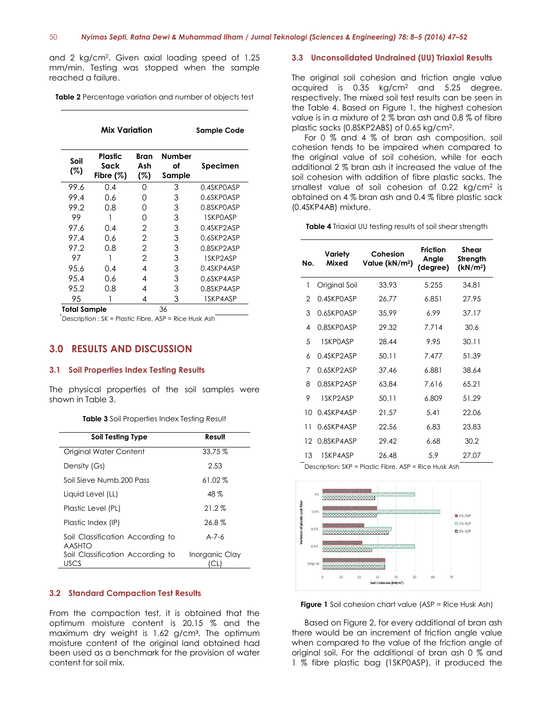and 2 kg/cm<sup>2</sup> . Given axial loading speed of 1.25 mm/min. Testing was stopped when the sample reached a failure.

**Table 2** Percentage variation and number of objects test

| Mix Variation |                                       |                    | Sample Code                   |            |
|---------------|---------------------------------------|--------------------|-------------------------------|------------|
| Soil<br>(%)   | <b>Plastic</b><br>Sack<br>Fibre $(%)$ | Bran<br>Ash<br>(%) | <b>Number</b><br>of<br>Sample | Specimen   |
| 99.6          | 0.4                                   | Ω                  | 3                             | 0.4SKPOASP |
| 99.4          | 0.6                                   | 0                  | 3                             | 0.6SKPOASP |
| 99.2          | 0.8                                   | 0                  | 3                             | 0.8SKPOASP |
| 99            |                                       | 0                  | 3                             | 1SKPOASP   |
| 97.6          | 0.4                                   | 2                  | 3                             | 0.4SKP2ASP |
| 97.4          | 0.6                                   | 2                  | 3                             | 0.6SKP2ASP |
| 97.2          | 0.8                                   | $\overline{2}$     | 3                             | 0.8SKP2ASP |
| 97            |                                       | 2                  | 3                             | 1SKP2ASP   |
| 95.6          | 0.4                                   | 4                  | 3                             | 0.4SKP4ASP |
| 95.4          | 0.6                                   | 4                  | 3                             | 0.6SKP4ASP |
| 95.2          | 0.8                                   | 4                  | 3                             | 0.8SKP4ASP |
| 95            |                                       | 4                  | 3                             | 1SKP4ASP   |

**Total Sample** 36

Description : SK = Plastic Fibre, ASP = Rice Husk Ash

### **3.0 RESULTS AND DISCUSSION**

#### **3.1 Soil Properties Index Testing Results**

The physical properties of the soil samples were shown in Table 3.

#### **Table 3** Soil Properties Index Testing Result

| <b>Soil Testing Type</b>                          | Result         |
|---------------------------------------------------|----------------|
| Original Water Content                            | $33.75\%$      |
| Density (Gs)                                      | 2.53           |
| Soil Sieve Numb, 200 Pass                         | $61.02\%$      |
| Liquid Level (LL)                                 | 48 %           |
| Plastic Level (PL)                                | $21.2\%$       |
| Plastic Index (IP)                                | $26.8\%$       |
| Soil Classification According to<br><b>AASHTO</b> | $A - 7 - 6$    |
| Soil Classification According to<br>USCS          | Inorganic Clay |

### **3.2 Standard Compaction Test Results**

From the compaction test, it is obtained that the optimum moisture content is 20.15 % and the maximum dry weight is 1.62 g/cm<sup>3</sup>. The optimum moisture content of the original land obtained had been used as a benchmark for the provision of water content for soil mix.

#### **3.3 Unconsolidated Undrained (UU) Triaxial Results**

The original soil cohesion and friction angle value acquired is 0.35 kg/cm<sup>2</sup> and 5.25 degree, respectively. The mixed soil test results can be seen in the Table 4. Based on Figure 1, the highest cohesion value is in a mixture of 2 % bran ash and 0.8 % of fibre plastic sacks (0.8SKP2ABS) of 0.65 kg/cm<sup>2</sup> .

For 0 % and 4 % of bran ash composition, soil cohesion tends to be impaired when compared to the original value of soil cohesion, while for each additional 2 % bran ash it increased the value of the soil cohesion with addition of fibre plastic sacks. The smallest value of soil cohesion of  $0.22 \text{ kg/cm}^2$  is obtained on 4 % bran ash and 0.4 % fibre plastic sack (0.4SKP4AB) mixture.

**Table 4** Triaxial UU testing results of soil shear strength

| No. | Variety<br>Mixed | Cohesion<br>Value (kN/m <sup>2</sup> ) | <b>Friction</b><br>Angle<br>(degree) | Shear<br>Strength<br>(kN/m <sup>2</sup> ) |
|-----|------------------|----------------------------------------|--------------------------------------|-------------------------------------------|
| 1   | Original Soil    | 33.93                                  | 5.255                                | 34.81                                     |
| 2   | 0.4SKPOASP       | 26.77                                  | 6.851                                | 27.95                                     |
| 3   | 0.6SKPOASP       | 35.99                                  | 6.99                                 | 37.17                                     |
| 4   | 0.8SKPOASP       | 29.32                                  | 7.714                                | 30.6                                      |
| 5   | 1SKPOASP         | 28.44                                  | 9.95                                 | 30.11                                     |
| 6   | 0.4SKP2ASP       | 50.11                                  | 7.477                                | 51.39                                     |
| 7   | 0.6SKP2ASP       | 37.46                                  | 6.881                                | 38.64                                     |
| 8   | 0.8SKP2ASP       | 63.84                                  | 7.616                                | 65.21                                     |
| 9   | 1SKP2ASP         | 50.11                                  | 6.809                                | 51.29                                     |
| 10  | 0.4SKP4ASP       | 21.57                                  | 5.41                                 | 22.06                                     |
| 11  | 0.6SKP4ASP       | 22.56                                  | 6.83                                 | 23.83                                     |
| 12  | 0.8SKP4ASP       | 29.42                                  | 6.68                                 | 30.2                                      |
| 13  | 1SKP4ASP         | 26.48                                  | 5.9                                  | 27.07                                     |

Description: SKP = Plastic Fibre, ASP = Rice Husk Ash



**Figure 1** Soil cohesion chart value (ASP = Rice Husk Ash)

Based on Figure 2, for every additional of bran ash there would be an increment of friction angle value when compared to the value of the friction angle of original soil. For the additional of bran ash 0 % and 1 % fibre plastic bag (1SKP0ASP), it produced the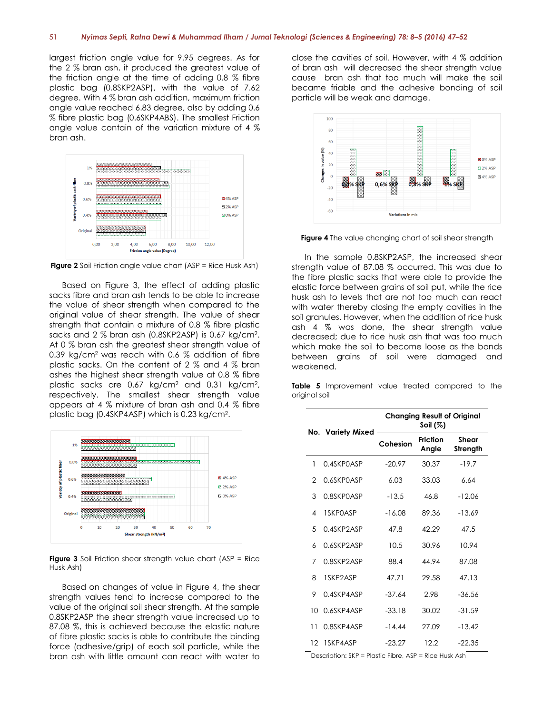largest friction angle value for 9.95 degrees. As for the 2 % bran ash, it produced the greatest value of the friction angle at the time of adding 0.8 % fibre plastic bag (0.8SKP2ASP), with the value of 7.62 degree. With 4 % bran ash addition, maximum friction angle value reached 6.83 degree, also by adding 0.6 % fibre plastic bag (0.6SKP4ABS). The smallest Friction angle value contain of the variation mixture of 4 % bran ash.



**Figure 2** Soil Friction angle value chart (ASP = Rice Husk Ash)

Based on Figure 3, the effect of adding plastic sacks fibre and bran ash tends to be able to increase the value of shear strength when compared to the original value of shear strength. The value of shear strength that contain a mixture of 0.8 % fibre plastic sacks and 2 % bran ash (0.8SKP2ASP) is 0.67 kg/cm<sup>2</sup> . At 0 % bran ash the greatest shear strength value of 0.39 kg/cm<sup>2</sup> was reach with 0.6 % addition of fibre plastic sacks. On the content of 2 % and 4 % bran ashes the highest shear strength value at 0.8 % fibre plastic sacks are 0.67 kg/cm<sup>2</sup> and 0.31 kg/cm<sup>2</sup> , respectively. The smallest shear strength value appears at 4 % mixture of bran ash and 0.4 % fibre plastic bag (0.4SKP4ASP) which is 0.23 kg/cm<sup>2</sup> .



**Figure 3** Soil Friction shear strength value chart (ASP = Rice Husk Ash)

Based on changes of value in Figure 4, the shear strength values tend to increase compared to the value of the original soil shear strength. At the sample 0.8SKP2ASP the shear strength value increased up to 87.08 %, this is achieved because the elastic nature of fibre plastic sacks is able to contribute the binding force (adhesive/grip) of each soil particle, while the bran ash with little amount can react with water to close the cavities of soil. However, with 4 % addition of bran ash will decreased the shear strength value cause bran ash that too much will make the soil became friable and the adhesive bonding of soil particle will be weak and damage.



**Figure 4** The value changing chart of soil shear strength

In the sample 0.8SKP2ASP, the increased shear strength value of 87.08 % occurred. This was due to the fibre plastic sacks that were able to provide the elastic force between grains of soil put, while the rice husk ash to levels that are not too much can react with water thereby closing the empty cavities in the soil granules. However, when the addition of rice husk ash 4 % was done, the shear strength value decreased; due to rice husk ash that was too much which make the soil to become loose as the bonds between grains of soil were damaged and weakened.

**Table 5** Improvement value treated compared to the original soil

|                   |                                                                   | <b>Changing Result of Original</b><br>Soil (%) |                          |                   |  |
|-------------------|-------------------------------------------------------------------|------------------------------------------------|--------------------------|-------------------|--|
|                   | No. Variety Mixed                                                 | Cohesion                                       | <b>Friction</b><br>Angle | Shear<br>Strength |  |
| 1                 | 0.4SKPOASP                                                        | $-20.97$                                       | 30.37                    | $-19.7$           |  |
| 2                 | 0.6SKPOASP                                                        | 6.03                                           | 33.03                    | 6.64              |  |
| 3                 | 0.8SKPOASP                                                        | $-13.5$                                        | 46.8                     | $-12.06$          |  |
| 4                 | 1SKPOASP                                                          | $-16.08$                                       | 89.36                    | $-13.69$          |  |
| 5                 | 0.4SKP2ASP                                                        | 47.8                                           | 42.29                    | 47.5              |  |
| 6                 | 0.6SKP2ASP                                                        | 10.5                                           | 30.96                    | 10.94             |  |
| 7                 | 0.8SKP2ASP                                                        | 88.4                                           | 44.94                    | 87.08             |  |
| 8                 | 1SKP2ASP                                                          | 47.71                                          | 29.58                    | 47.13             |  |
| 9                 | 0.4SKP4ASP                                                        | $-37.64$                                       | 2.98                     | $-36.56$          |  |
| 10                | 0.6SKP4ASP                                                        | $-33.18$                                       | 30.02                    | $-31.59$          |  |
| 11                | 0.8SKP4ASP                                                        | $-14.44$                                       | 27.09                    | $-13.42$          |  |
| $12 \overline{ }$ | 1SKP4ASP<br>Deserintian: CKD - Digetic Fibro ACD - Digo Unply Ash | $-23.27$                                       | 12.2                     | $-22.35$          |  |

Description: SKP = Plastic Fibre, ASP = Rice Husk Ash